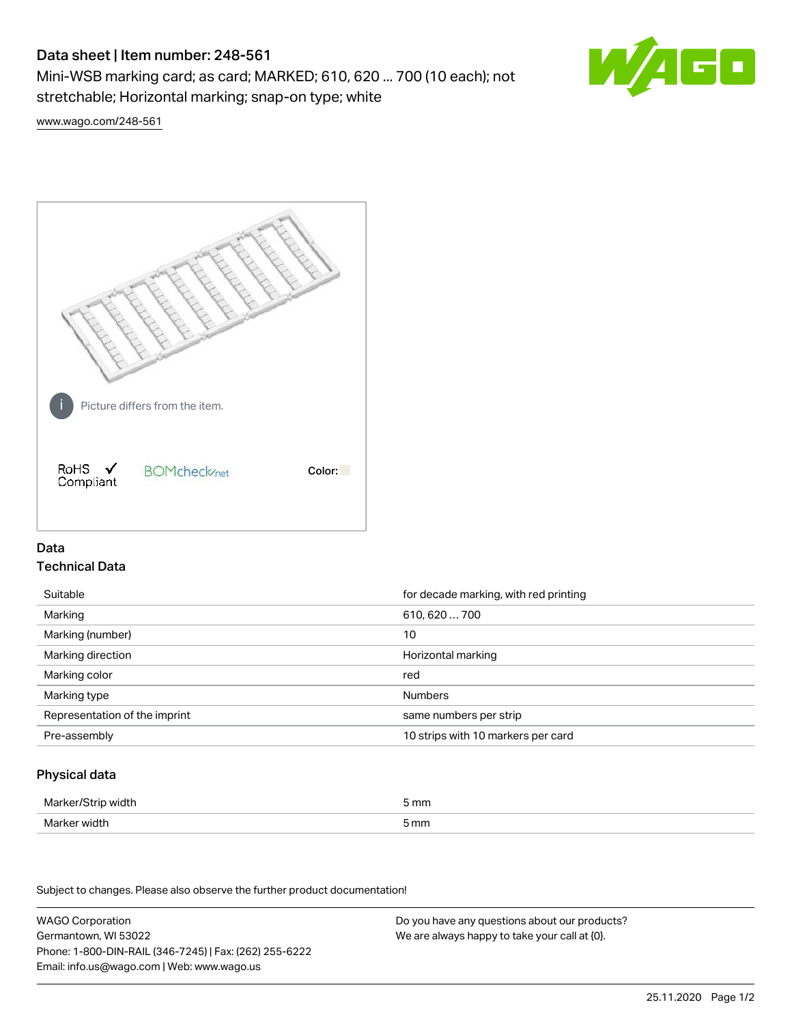# Data sheet | Item number: 248-561

Mini-WSB marking card; as card; MARKED; 610, 620 ... 700 (10 each); not stretchable; Horizontal marking; snap-on type; white



[www.wago.com/248-561](http://www.wago.com/248-561)



## Data Technical Data

| Suitable                      | for decade marking, with red printing |
|-------------------------------|---------------------------------------|
| Marking                       | 610, 620  700                         |
| Marking (number)              | 10                                    |
| Marking direction             | Horizontal marking                    |
| Marking color                 | red                                   |
| Marking type                  | <b>Numbers</b>                        |
| Representation of the imprint | same numbers per strip                |
| Pre-assembly                  | 10 strips with 10 markers per card    |

## Physical data

| Marker/Strip width | 5 mm |
|--------------------|------|
| Marker width       | 5 mm |

Subject to changes. Please also observe the further product documentation!

WAGO Corporation Germantown, WI 53022 Phone: 1-800-DIN-RAIL (346-7245) | Fax: (262) 255-6222 Email: info.us@wago.com | Web: www.wago.us Do you have any questions about our products? We are always happy to take your call at {0}.

25.11.2020 Page 1/2